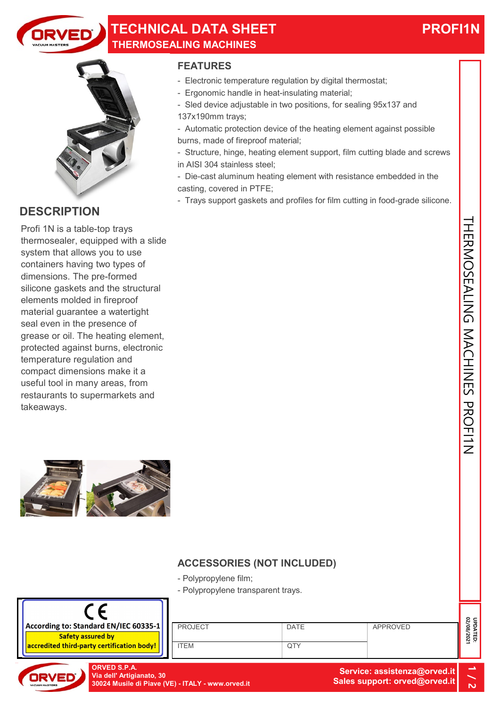

## TECHNICAL DATA SHEET THERMOSEALING MACHINES

# PROFI1N



## **DESCRIPTION**

Profi 1N is a table-top trays thermosealer, equipped with a slide system that allows you to use containers having two types of dimensions. The pre-formed silicone gaskets and the structural elements molded in fireproof material guarantee a watertight seal even in the presence of grease or oil. The heating element, protected against burns, electronic temperature regulation and compact dimensions make it a useful tool in many areas, from restaurants to supermarkets and takeaways.



### FEATURES

- Electronic temperature regulation by digital thermostat;
- Ergonomic handle in heat-insulating material;
- Sled device adjustable in two positions, for sealing 95x137 and
- 137x190mm trays;
- Automatic protection device of the heating element against possible burns, made of fireproof material;
- Structure, hinge, heating element support, film cutting blade and screws in AISI 304 stainless steel;
- Die-cast aluminum heating element with resistance embedded in the casting, covered in PTFE;
- Trays support gaskets and profiles for film cutting in food-grade silicone.

- Polypropylene film;
- Polypropylene transparent trays.



PROJECT ITEM DATE **QTY** ard EN/IEC 60335-1<br>
ITEM DATE<br>
ORVED S.P.A.<br>
Via dell'Artigianato, 30<br>
20024 Musile di Piave (VE) - ITALY - www.orved.it<br>
CORVED S.P.A.<br>
20024 Musile di Piave (VE) - ITALY - www.orved.it<br>
20024 Musile di Piave (VE) - ITALY



Via dell' Artigianato, 30 30024 Musile di Piave (VE) - ITALY - www.orved.it

Service: assistenza@orved.it Sales support: orved@orved.it